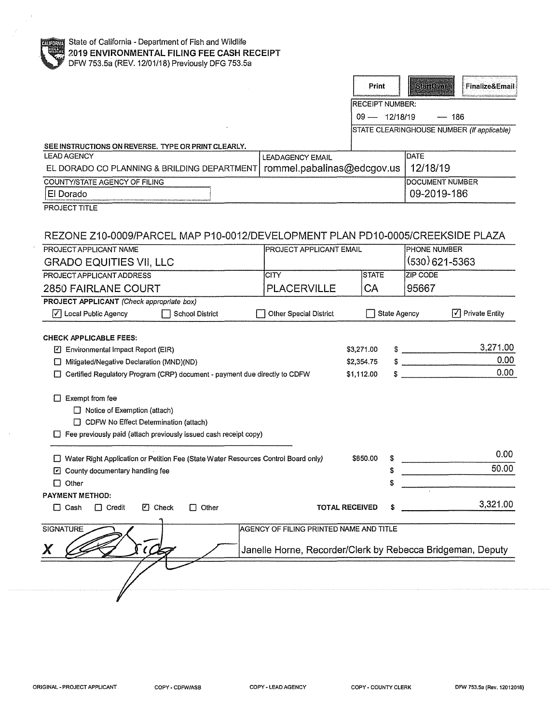|                                                                                          |                                                            | Print                  | Stantovar              | Finalize&Email                             |
|------------------------------------------------------------------------------------------|------------------------------------------------------------|------------------------|------------------------|--------------------------------------------|
|                                                                                          |                                                            | <b>RECEIPT NUMBER:</b> |                        |                                            |
|                                                                                          |                                                            | $09 - 12/18/19$        | $-186$                 |                                            |
|                                                                                          |                                                            |                        |                        | STATE CLEARINGHOUSE NUMBER (If applicable) |
| SEE INSTRUCTIONS ON REVERSE. TYPE OR PRINT CLEARLY.                                      |                                                            |                        |                        |                                            |
| <b>LEAD AGENCY</b>                                                                       | <b>LEADAGENCY EMAIL</b>                                    |                        | <b>DATE</b>            |                                            |
| EL DORADO CO PLANNING & BRILDING DEPARTMENT                                              | rommel.pabalinas@edcgov.us                                 |                        | 12/18/19               |                                            |
| COUNTY/STATE AGENCY OF FILING                                                            |                                                            |                        | <b>DOCUMENT NUMBER</b> |                                            |
| El Dorado                                                                                |                                                            |                        | 09-2019-186            |                                            |
| PROJECT TITLE                                                                            |                                                            |                        |                        |                                            |
| REZONE Z10-0009/PARCEL MAP P10-0012/DEVELOPMENT PLAN PD10-0005/CREEKSIDE PLAZA           |                                                            |                        |                        |                                            |
| PROJECT APPLICANT NAME                                                                   | <b>PROJECT APPLICANT EMAIL</b>                             | <b>PHONE NUMBER</b>    |                        |                                            |
| <b>GRADO EQUITIES VII, LLC</b>                                                           |                                                            |                        | (530) 621-5363         |                                            |
| PROJECT APPLICANT ADDRESS                                                                | <b>CITY</b>                                                | <b>STATE</b>           | <b>ZIP CODE</b>        |                                            |
| <b>2850 FAIRLANE COURT</b>                                                               | <b>PLACERVILLE</b>                                         | СA                     | 95667                  |                                            |
| PROJECT APPLICANT (Check appropriate box)                                                |                                                            |                        |                        |                                            |
| $\sqrt{\phantom{a}}$ Local Public Agency<br><b>School District</b>                       | <b>Other Special District</b>                              | <b>State Agency</b>    | ا√ا                    | <b>Private Entity</b>                      |
|                                                                                          |                                                            |                        |                        |                                            |
| <b>CHECK APPLICABLE FEES:</b><br>□ Environmental Impact Report (EIR)                     |                                                            | \$3,271.00             | $\sim$                 | 3,271.00                                   |
| Mitigated/Negative Declaration (MND)(ND)<br>U                                            |                                                            | \$2,354.75             |                        | 0.00                                       |
| Certified Regulatory Program (CRP) document - payment due directly to CDFW<br>\$1,112.00 |                                                            |                        |                        | 0.00                                       |
|                                                                                          |                                                            |                        |                        |                                            |
| Exempt from fee                                                                          |                                                            |                        |                        |                                            |
| $\Box$ Notice of Exemption (attach)                                                      |                                                            |                        |                        |                                            |
| □ CDFW No Effect Determination (attach)                                                  |                                                            |                        |                        |                                            |
| $\Box$ Fee previously paid (attach previously issued cash receipt copy)                  |                                                            |                        |                        |                                            |
| □ Water Right Application or Petition Fee (State Water Resources Control Board only)     |                                                            | \$850.00<br>S          |                        | 0.00                                       |
| $\Box$ County documentary handling fee                                                   |                                                            | S                      |                        | 50.00                                      |
| $\Box$ Other                                                                             |                                                            |                        |                        |                                            |
| <b>PAYMENT METHOD:</b>                                                                   |                                                            |                        |                        |                                            |
| <b>7</b> Check<br>$\Box$ Other<br>$\Box$ Cash<br>$\Box$ Credit                           | <b>TOTAL RECEIVED</b>                                      | \$                     |                        | 3,321.00                                   |
| <b>SIGNATURE</b>                                                                         | AGENCY OF FILING PRINTED NAME AND TITLE                    |                        |                        |                                            |
|                                                                                          |                                                            |                        |                        |                                            |
|                                                                                          | Janelle Horne, Recorder/Clerk by Rebecca Bridgeman, Deputy |                        |                        |                                            |
|                                                                                          |                                                            |                        |                        |                                            |
|                                                                                          |                                                            |                        |                        |                                            |
|                                                                                          |                                                            |                        |                        |                                            |